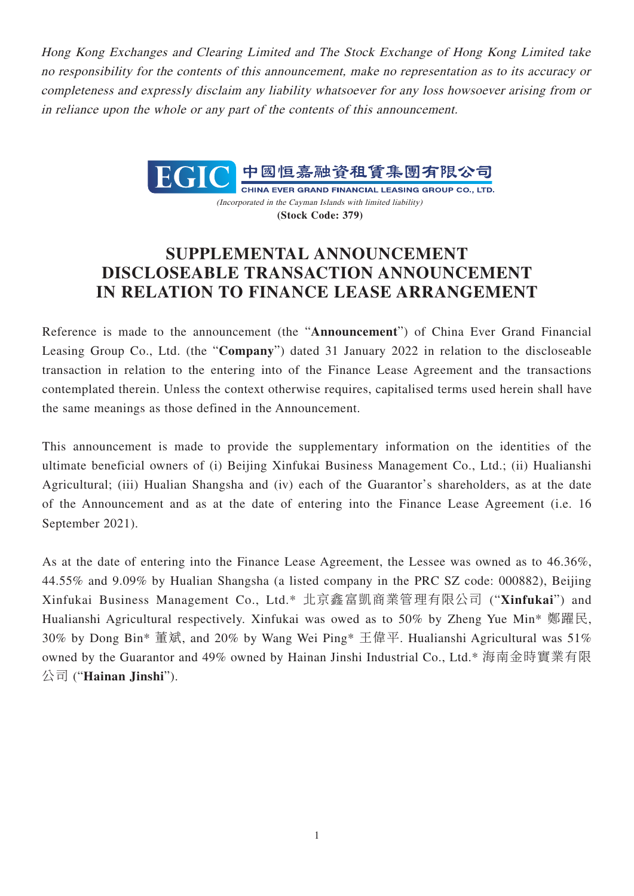Hong Kong Exchanges and Clearing Limited and The Stock Exchange of Hong Kong Limited take no responsibility for the contents of this announcement, make no representation as to its accuracy or completeness and expressly disclaim any liability whatsoever for any loss howsoever arising from or in reliance upon the whole or any part of the contents of this announcement.



CHINA EVER GRAND FINANCIAL LEASING GROUP CO., LTD. (Incorporated in the Cayman Islands with limited liability) **(Stock Code: 379)**

## **SUPPLEMENTAL ANNOUNCEMENT DISCLOSEABLE TRANSACTION ANNOUNCEMENT IN RELATION TO FINANCE LEASE ARRANGEMENT**

Reference is made to the announcement (the "**Announcement**") of China Ever Grand Financial Leasing Group Co., Ltd. (the "**Company**") dated 31 January 2022 in relation to the discloseable transaction in relation to the entering into of the Finance Lease Agreement and the transactions contemplated therein. Unless the context otherwise requires, capitalised terms used herein shall have the same meanings as those defined in the Announcement.

This announcement is made to provide the supplementary information on the identities of the ultimate beneficial owners of (i) Beijing Xinfukai Business Management Co., Ltd.; (ii) Hualianshi Agricultural; (iii) Hualian Shangsha and (iv) each of the Guarantor's shareholders, as at the date of the Announcement and as at the date of entering into the Finance Lease Agreement (i.e. 16 September 2021).

As at the date of entering into the Finance Lease Agreement, the Lessee was owned as to 46.36%, 44.55% and 9.09% by Hualian Shangsha (a listed company in the PRC SZ code: 000882), Beijing Xinfukai Business Management Co., Ltd.\* 北京鑫富凱商業管理有限公司 ("**Xinfukai**") and Hualianshi Agricultural respectively. Xinfukai was owed as to 50% by Zheng Yue Min\* 鄭躍民, 30% by Dong Bin\* 董斌, and 20% by Wang Wei Ping\* 王偉平. Hualianshi Agricultural was 51% owned by the Guarantor and 49% owned by Hainan Jinshi Industrial Co., Ltd.\* 海南金時實業有限 公司 ("**Hainan Jinshi**").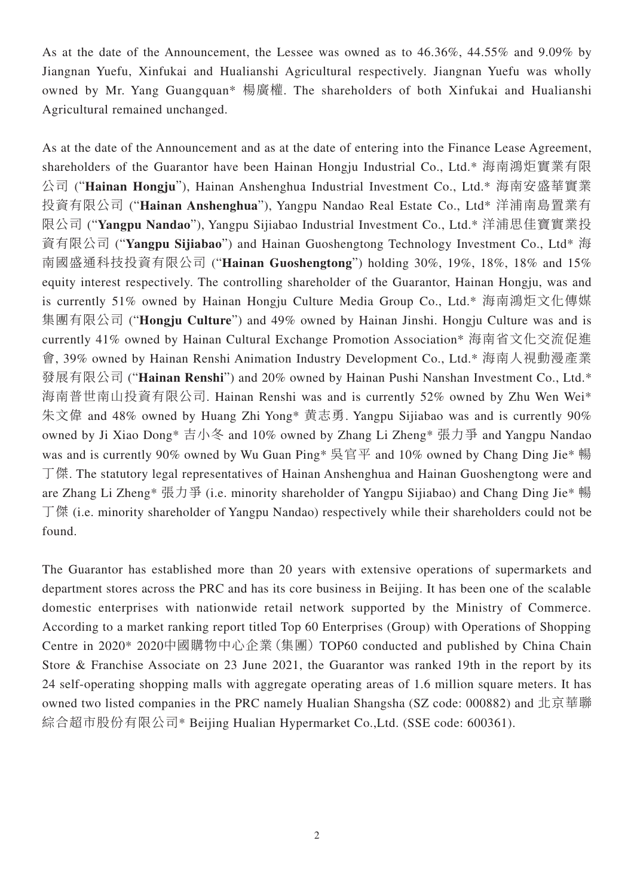As at the date of the Announcement, the Lessee was owned as to 46.36%, 44.55% and 9.09% by Jiangnan Yuefu, Xinfukai and Hualianshi Agricultural respectively. Jiangnan Yuefu was wholly owned by Mr. Yang Guangquan\* 楊廣權. The shareholders of both Xinfukai and Hualianshi Agricultural remained unchanged.

As at the date of the Announcement and as at the date of entering into the Finance Lease Agreement, shareholders of the Guarantor have been Hainan Hongju Industrial Co., Ltd.\* 海南鴻炬實業有限 公司 ("**Hainan Hongju**"), Hainan Anshenghua Industrial Investment Co., Ltd.\* 海南安盛華實業 投資有限公司 ("**Hainan Anshenghua**"), Yangpu Nandao Real Estate Co., Ltd\* 洋浦南島置業有 限公司 ("**Yangpu Nandao**"), Yangpu Sijiabao Industrial Investment Co., Ltd.\* 洋浦思佳寶實業投 資有限公司 ("**Yangpu Sijiabao**") and Hainan Guoshengtong Technology Investment Co., Ltd\* 海 南國盛通科技投資有限公司 ("**Hainan Guoshengtong**") holding 30%, 19%, 18%, 18% and 15% equity interest respectively. The controlling shareholder of the Guarantor, Hainan Hongju, was and is currently 51% owned by Hainan Hongju Culture Media Group Co., Ltd.\* 海南鴻炬文化傳媒 集團有限公司 ("**Hongju Culture**") and 49% owned by Hainan Jinshi. Hongju Culture was and is currently 41% owned by Hainan Cultural Exchange Promotion Association\* 海南省文化交流促進 會, 39% owned by Hainan Renshi Animation Industry Development Co., Ltd.\* 海南人視動漫產業 發展有限公司 ("Hainan Renshi") and 20% owned by Hainan Pushi Nanshan Investment Co., Ltd.\* 海南普世南山投資有限公司. Hainan Renshi was and is currently 52% owned by Zhu Wen Wei\* 朱文偉 and 48% owned by Huang Zhi Yong\* 黄志勇. Yangpu Sijiabao was and is currently 90% owned by Ji Xiao Dong\* 吉小冬 and 10% owned by Zhang Li Zheng\* 張力爭 and Yangpu Nandao was and is currently 90% owned by Wu Guan Ping\* 吳官平 and 10% owned by Chang Ding Jie\* 暢 丁傑. The statutory legal representatives of Hainan Anshenghua and Hainan Guoshengtong were and are Zhang Li Zheng\* 張力爭 (i.e. minority shareholder of Yangpu Sijiabao) and Chang Ding Jie\* 暢 丁傑 (i.e. minority shareholder of Yangpu Nandao) respectively while their shareholders could not be found.

The Guarantor has established more than 20 years with extensive operations of supermarkets and department stores across the PRC and has its core business in Beijing. It has been one of the scalable domestic enterprises with nationwide retail network supported by the Ministry of Commerce. According to a market ranking report titled Top 60 Enterprises (Group) with Operations of Shopping Centre in 2020\* 2020中國購物中心企業(集團) TOP60 conducted and published by China Chain Store & Franchise Associate on 23 June 2021, the Guarantor was ranked 19th in the report by its 24 self-operating shopping malls with aggregate operating areas of 1.6 million square meters. It has owned two listed companies in the PRC namely Hualian Shangsha (SZ code: 000882) and 北京華聯 綜合超市股份有限公司\* Beijing Hualian Hypermarket Co.,Ltd. (SSE code: 600361).